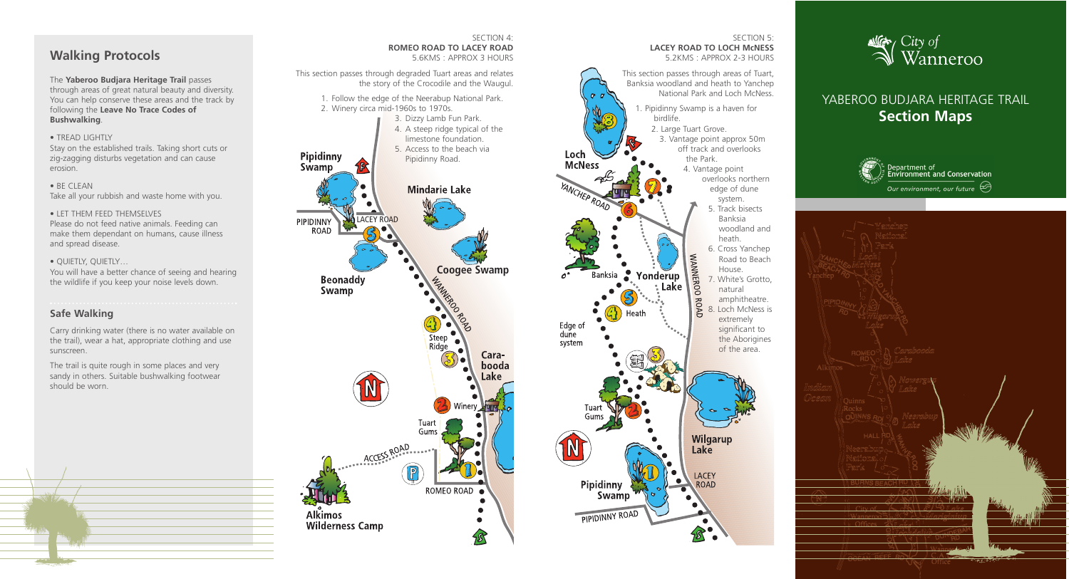# **Walking Protocols**

The **Yaberoo Budjara Heritage Trail** passes through areas of great natural beauty and diversity. You can help conserve these areas and the track by following the **Leave No Trace Codes of Bushwalking** .

### • TREAD LIGHTLY

Stay on the established trails. Taking short cuts or zig-zagging disturbs vegetation and can cause erosion.

• BE CLEAN Take all your rubbish and waste home with you.

#### • LET THEM FEED THEMSELVES

Please do not feed native animals. Feeding can make them dependant on humans, cause illness and spread disease.

#### • QUIETLY, QUIETLY…



You will have a better chance of seeing and hearing the wildlife if you keep your noise levels down.

SECTION 5: **LACEY ROAD TO LOCH McNESS** 5.2KMS : APPROX 2-3 HOURS This section passes through areas of Tuart, Banksia woodland and heath to Yanchep National Park and Loch McNess. 1. Pipidinny Swamp is a haven for birdlife. 2. Large Tuart Grove. 3. Vantage point approx 50m off track and overlooks the Park. 4. Vantage point overlooks northern edge of dune **VCHEP ROAD** system. 5. Track bisects Banksia woodland and heath. 6. Cross Yanchep **WANNEROO** Road to Beach House. Banksia Yonderup 7. White's Grotto, : Lake  $\bullet$ natural **ROA** amphitheatre. 8. Loch McNess is Heath extremely significant to the Aborigines of the area.Wilgarup Lake

**LACEY** 

**ROAD** 



## **Safe Walking**

Carry drinking water (there is no water available on the trail), wear a hat, appropriate clothing and use sunscreen.

The trail is quite rough in some places and very sandy in others. Suitable bushwalking footwear should be worn.

# YABEROO BUDJARA HERITAGE TRAIL **Section Maps**





## SECTION 4: **ROMEO ROAD TO LACEY ROAD**

Loch

Edge of dune system

Pipidinny

Swamp

PIPIDINNY ROAD

**McNess** 

5.6KMS : APPROX 3 HOURS

This section passes through degraded Tuart areas and relates the story of the Crocodile and the Waugul.